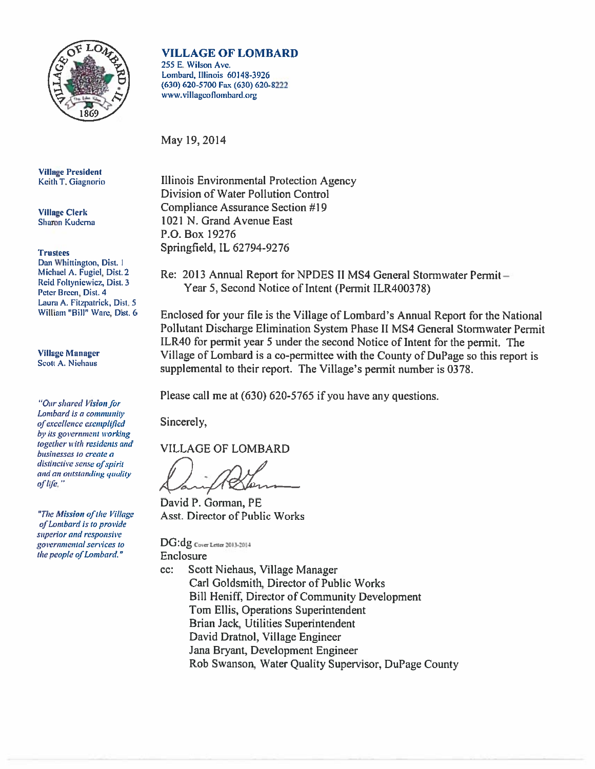

**Village President** Keith T. Giagnorio

**Village Clerk** Sharon Kuderna

#### **Trustees**

Dan Whittington, Dist. 1 Michael A. Fugiel, Dist. 2 Reid Foltyniewicz, Dist. 3 Peter Breen, Dist. 4 Laura A. Fitzpatrick, Dist. 5 William "Bill" Ware, Dist. 6

**Village Manager** Scott A. Nichaus

"Our shared Vision for Lombard is a community of excellence exemplified by its government working together with residents and businesses to create a distinctive sense of spirit and an outstanding quality  $of$  life."

"The Mission of the Village of Lombard is to provide superior and responsive governmental services to the people of Lombard."

# **VILLAGE OF LOMBARD**

255 E. Wilson Ave. Lombard, Illinois 60148-3926 (630) 620-5700 Fax (630) 620-8222 www.villageoflombard.org

May 19, 2014

Illinois Environmental Protection Agency Division of Water Pollution Control Compliance Assurance Section #19 1021 N. Grand Avenue East P.O. Box 19276 Springfield, IL 62794-9276

Re: 2013 Annual Report for NPDES II MS4 General Stormwater Permit = Year 5, Second Notice of Intent (Permit ILR400378)

Enclosed for your file is the Village of Lombard's Annual Report for the National Pollutant Discharge Elimination System Phase II MS4 General Stormwater Permit ILR40 for permit year 5 under the second Notice of Intent for the permit. The Village of Lombard is a co-permittee with the County of DuPage so this report is supplemental to their report. The Village's permit number is 0378.

Please call me at (630) 620-5765 if you have any questions.

Sincerely,

**VILLAGE OF LOMBARD** 

David P. Gorman, PE Asst. Director of Public Works

DG:dg Cover Letter 2013-2014 Enclosure

Scott Niehaus, Village Manager cc: Carl Goldsmith, Director of Public Works Bill Heniff, Director of Community Development Tom Ellis, Operations Superintendent Brian Jack, Utilities Superintendent David Dratnol, Village Engineer Jana Bryant, Development Engineer Rob Swanson, Water Quality Supervisor, DuPage County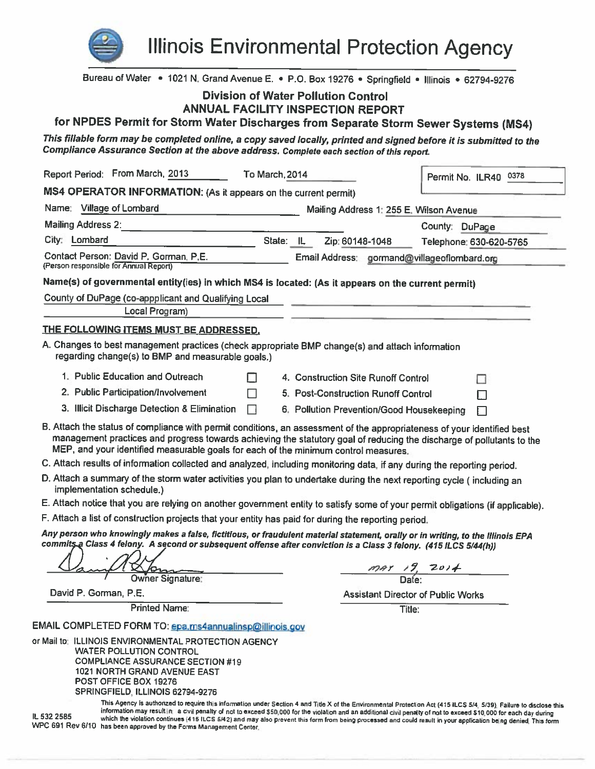

**Illinois Environmental Protection Agency** 

| Bureau of Water • 1021 N. Grand Avenue E. • P.O. Box 19276 • Springfield • Illinois • 62794-9276                                                                                                                                                                                                                                                                                                                                                                                                                                                                                                    |           |                                             |                |                         |
|-----------------------------------------------------------------------------------------------------------------------------------------------------------------------------------------------------------------------------------------------------------------------------------------------------------------------------------------------------------------------------------------------------------------------------------------------------------------------------------------------------------------------------------------------------------------------------------------------------|-----------|---------------------------------------------|----------------|-------------------------|
| <b>Division of Water Pollution Control</b><br><b>ANNUAL FACILITY INSPECTION REPORT</b><br>for NPDES Permit for Storm Water Discharges from Separate Storm Sewer Systems (MS4)                                                                                                                                                                                                                                                                                                                                                                                                                       |           |                                             |                |                         |
| This fillable form may be completed online, a copy saved locally, printed and signed before it is submitted to the                                                                                                                                                                                                                                                                                                                                                                                                                                                                                  |           |                                             |                |                         |
| Compliance Assurance Section at the above address. Complete each section of this report.                                                                                                                                                                                                                                                                                                                                                                                                                                                                                                            |           |                                             |                |                         |
| Report Period: From March, 2013<br>To March, 2014                                                                                                                                                                                                                                                                                                                                                                                                                                                                                                                                                   |           |                                             |                | Permit No. ILR40 0378   |
| MS4 OPERATOR INFORMATION: (As it appears on the current permit)                                                                                                                                                                                                                                                                                                                                                                                                                                                                                                                                     |           |                                             |                |                         |
| Name: Village of Lombard                                                                                                                                                                                                                                                                                                                                                                                                                                                                                                                                                                            |           | Mailing Address 1: 255 E. Wilson Avenue     |                |                         |
| <b>Mailing Address 2:</b><br><u> La Carlo Carlo Carlo Carlo Carlo Carlo Carlo Carlo Carlo Carlo Carlo Carlo Carlo Carlo Carlo Carlo Carlo Car</u>                                                                                                                                                                                                                                                                                                                                                                                                                                                   |           |                                             | County: DuPage |                         |
| City: Lombard                                                                                                                                                                                                                                                                                                                                                                                                                                                                                                                                                                                       | State: IL | Zip: 60148-1048                             |                | Telephone: 630-620-5765 |
| Contact Person: David P. Gorman, P.E.<br>(Person responsible for Annual Report)                                                                                                                                                                                                                                                                                                                                                                                                                                                                                                                     |           | Email Address: gormand@villageoflombard.org |                |                         |
| Name(s) of governmental entity(ies) in which MS4 is located: (As it appears on the current permit)                                                                                                                                                                                                                                                                                                                                                                                                                                                                                                  |           |                                             |                |                         |
| County of DuPage (co-appplicant and Qualifying Local                                                                                                                                                                                                                                                                                                                                                                                                                                                                                                                                                |           | <u> 1948 - Samuel Carlotte (Signal)</u>     |                |                         |
| Local Program)                                                                                                                                                                                                                                                                                                                                                                                                                                                                                                                                                                                      |           |                                             |                |                         |
| THE FOLLOWING ITEMS MUST BE ADDRESSED.                                                                                                                                                                                                                                                                                                                                                                                                                                                                                                                                                              |           |                                             |                |                         |
| A. Changes to best management practices (check appropriate BMP change(s) and attach information<br>regarding change(s) to BMP and measurable goals.)                                                                                                                                                                                                                                                                                                                                                                                                                                                |           |                                             |                |                         |
| 1. Public Education and Outreach<br>$\Box$                                                                                                                                                                                                                                                                                                                                                                                                                                                                                                                                                          |           | 4. Construction Site Runoff Control         |                | □                       |
| 2. Public Participation/Involvement<br>П                                                                                                                                                                                                                                                                                                                                                                                                                                                                                                                                                            |           | 5. Post-Construction Runoff Control         |                | $\Box$                  |
| 3. Illicit Discharge Detection & Elimination<br>П                                                                                                                                                                                                                                                                                                                                                                                                                                                                                                                                                   |           | 6. Pollution Prevention/Good Housekeeping   |                | П                       |
| B. Attach the status of compliance with permit conditions, an assessment of the appropriateness of your identified best<br>management practices and progress towards achieving the statutory goal of reducing the discharge of pollutants to the<br>MEP, and your identified measurable goals for each of the minimum control measures.                                                                                                                                                                                                                                                             |           |                                             |                |                         |
| C. Attach results of information collected and analyzed, including monitoring data, if any during the reporting period.                                                                                                                                                                                                                                                                                                                                                                                                                                                                             |           |                                             |                |                         |
| D. Attach a summary of the storm water activities you plan to undertake during the next reporting cycle (including an<br>implementation schedule.)                                                                                                                                                                                                                                                                                                                                                                                                                                                  |           |                                             |                |                         |
| E. Attach notice that you are relying on another government entity to satisfy some of your permit obligations (if applicable).                                                                                                                                                                                                                                                                                                                                                                                                                                                                      |           |                                             |                |                         |
| F. Attach a list of construction projects that your entity has paid for during the reporting period.                                                                                                                                                                                                                                                                                                                                                                                                                                                                                                |           |                                             |                |                         |
| Any person who knowingly makes a false, fictitious, or fraudulent material statement, orally or in writing, to the Illinois EPA<br>commits a Class 4 felony. A second or subsequent offense after conviction is a Class 3 felony. (415 ILCS 5/44(h))                                                                                                                                                                                                                                                                                                                                                |           |                                             |                |                         |
|                                                                                                                                                                                                                                                                                                                                                                                                                                                                                                                                                                                                     |           |                                             |                |                         |
| Owner Signature:                                                                                                                                                                                                                                                                                                                                                                                                                                                                                                                                                                                    |           | $\frac{max+9}{base}$ 2014                   |                |                         |
| David P. Gorman, P.E.                                                                                                                                                                                                                                                                                                                                                                                                                                                                                                                                                                               |           | <b>Assistant Director of Public Works</b>   |                |                         |
| <b>Printed Name:</b>                                                                                                                                                                                                                                                                                                                                                                                                                                                                                                                                                                                |           | Title:                                      |                |                         |
| EMAIL COMPLETED FORM TO: epa.ms4annualinsp@illinois.gov                                                                                                                                                                                                                                                                                                                                                                                                                                                                                                                                             |           |                                             |                |                         |
| or Mail to: ILLINOIS ENVIRONMENTAL PROTECTION AGENCY<br><b>WATER POLLUTION CONTROL</b><br><b>COMPLIANCE ASSURANCE SECTION #19</b><br><b>1021 NORTH GRAND AVENUE EAST</b><br>POST OFFICE BOX 19276<br>SPRINGFIELD, ILLINOIS 62794-9276                                                                                                                                                                                                                                                                                                                                                               |           |                                             |                |                         |
| This Agency is authorized to require this information under Section 4 and Title X of the Environmental Protection Act (415 ILCS 5/4, 5/39), Failure to disclose this<br>information may result in: a civil penalty of not to exceed \$50,000 for the violation and an additional civil penalty of not to exceed \$10,000 for each day during<br>IL 532 2585<br>which the violation continues (415 ILCS 5/42) and may also prevent this form from being processed and could result in your application being denied. This form<br>WPC 691 Rev 6/10 has been approved by the Forms Management Center. |           |                                             |                |                         |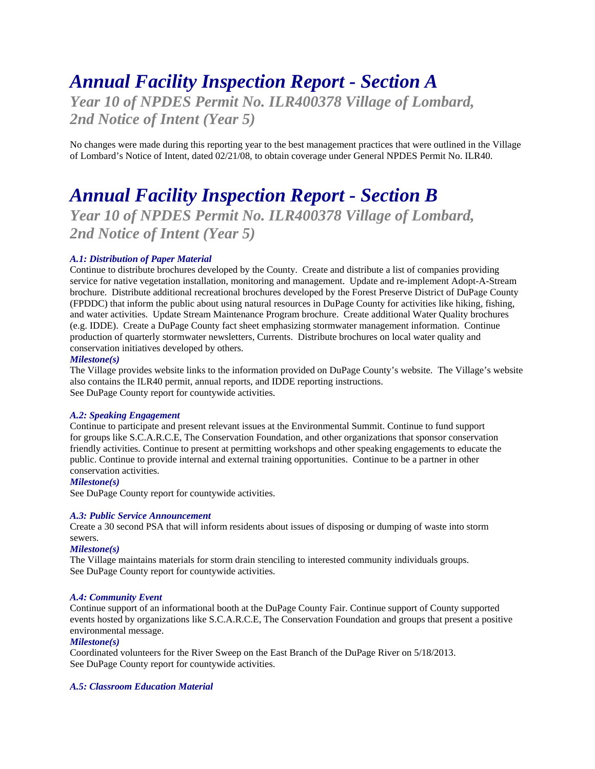# *Annual Facility Inspection Report - Section A*

*Year 10 of NPDES Permit No. ILR400378 Village of Lombard, 2nd Notice of Intent (Year 5)* 

No changes were made during this reporting year to the best management practices that were outlined in the Village of Lombard's Notice of Intent, dated 02/21/08, to obtain coverage under General NPDES Permit No. ILR40.

# *Annual Facility Inspection Report - Section B*

*Year 10 of NPDES Permit No. ILR400378 Village of Lombard, 2nd Notice of Intent (Year 5)* 

#### *A.1: Distribution of Paper Material*

Continue to distribute brochures developed by the County. Create and distribute a list of companies providing service for native vegetation installation, monitoring and management. Update and re-implement Adopt-A-Stream brochure. Distribute additional recreational brochures developed by the Forest Preserve District of DuPage County (FPDDC) that inform the public about using natural resources in DuPage County for activities like hiking, fishing, and water activities. Update Stream Maintenance Program brochure. Create additional Water Quality brochures (e.g. IDDE). Create a DuPage County fact sheet emphasizing stormwater management information. Continue production of quarterly stormwater newsletters, Currents. Distribute brochures on local water quality and conservation initiatives developed by others.

#### *Milestone(s)*

The Village provides website links to the information provided on DuPage County's website. The Village's website also contains the ILR40 permit, annual reports, and IDDE reporting instructions. See DuPage County report for countywide activities.

#### *A.2: Speaking Engagement*

Continue to participate and present relevant issues at the Environmental Summit. Continue to fund support for groups like S.C.A.R.C.E, The Conservation Foundation, and other organizations that sponsor conservation friendly activities. Continue to present at permitting workshops and other speaking engagements to educate the public. Continue to provide internal and external training opportunities. Continue to be a partner in other conservation activities.

#### *Milestone(s)*

See DuPage County report for countywide activities.

#### *A.3: Public Service Announcement*

Create a 30 second PSA that will inform residents about issues of disposing or dumping of waste into storm sewers.

#### *Milestone(s)*

The Village maintains materials for storm drain stenciling to interested community individuals groups. See DuPage County report for countywide activities.

#### *A.4: Community Event*

Continue support of an informational booth at the DuPage County Fair. Continue support of County supported events hosted by organizations like S.C.A.R.C.E, The Conservation Foundation and groups that present a positive environmental message.

#### *Milestone(s)*

Coordinated volunteers for the River Sweep on the East Branch of the DuPage River on 5/18/2013. See DuPage County report for countywide activities.

#### *A.5: Classroom Education Material*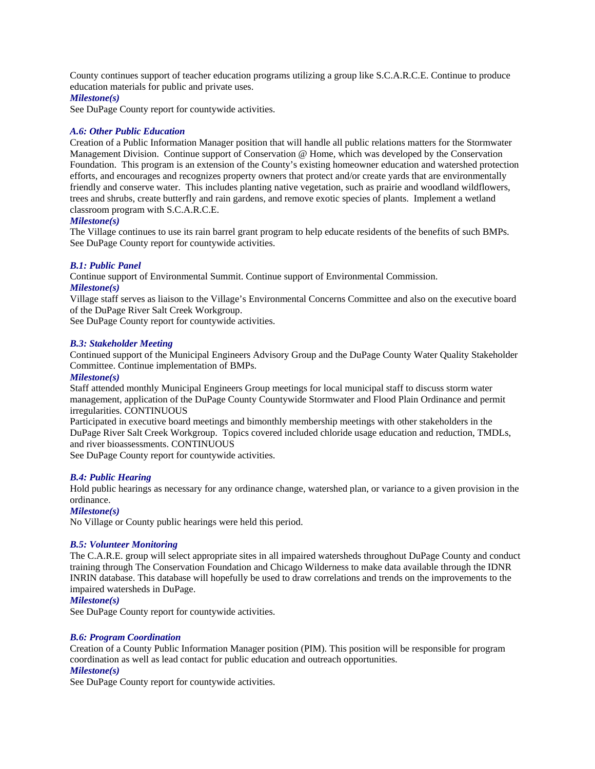County continues support of teacher education programs utilizing a group like S.C.A.R.C.E. Continue to produce education materials for public and private uses.

#### *Milestone(s)*

See DuPage County report for countywide activities.

#### *A.6: Other Public Education*

Creation of a Public Information Manager position that will handle all public relations matters for the Stormwater Management Division. Continue support of Conservation @ Home, which was developed by the Conservation Foundation. This program is an extension of the County's existing homeowner education and watershed protection efforts, and encourages and recognizes property owners that protect and/or create yards that are environmentally friendly and conserve water. This includes planting native vegetation, such as prairie and woodland wildflowers, trees and shrubs, create butterfly and rain gardens, and remove exotic species of plants. Implement a wetland classroom program with S.C.A.R.C.E.

#### *Milestone(s)*

The Village continues to use its rain barrel grant program to help educate residents of the benefits of such BMPs. See DuPage County report for countywide activities.

#### *B.1: Public Panel*

Continue support of Environmental Summit. Continue support of Environmental Commission. *Milestone(s)* 

Village staff serves as liaison to the Village's Environmental Concerns Committee and also on the executive board of the DuPage River Salt Creek Workgroup.

See DuPage County report for countywide activities.

#### *B.3: Stakeholder Meeting*

Continued support of the Municipal Engineers Advisory Group and the DuPage County Water Quality Stakeholder Committee. Continue implementation of BMPs.

#### *Milestone(s)*

Staff attended monthly Municipal Engineers Group meetings for local municipal staff to discuss storm water management, application of the DuPage County Countywide Stormwater and Flood Plain Ordinance and permit irregularities. CONTINUOUS

Participated in executive board meetings and bimonthly membership meetings with other stakeholders in the DuPage River Salt Creek Workgroup. Topics covered included chloride usage education and reduction, TMDLs, and river bioassessments. CONTINUOUS

See DuPage County report for countywide activities.

#### *B.4: Public Hearing*

Hold public hearings as necessary for any ordinance change, watershed plan, or variance to a given provision in the ordinance.

#### *Milestone(s)*

No Village or County public hearings were held this period.

#### *B.5: Volunteer Monitoring*

The C.A.R.E. group will select appropriate sites in all impaired watersheds throughout DuPage County and conduct training through The Conservation Foundation and Chicago Wilderness to make data available through the IDNR INRIN database. This database will hopefully be used to draw correlations and trends on the improvements to the impaired watersheds in DuPage.

#### *Milestone(s)*

See DuPage County report for countywide activities.

#### *B.6: Program Coordination*

Creation of a County Public Information Manager position (PIM). This position will be responsible for program coordination as well as lead contact for public education and outreach opportunities.

#### *Milestone(s)*

See DuPage County report for countywide activities.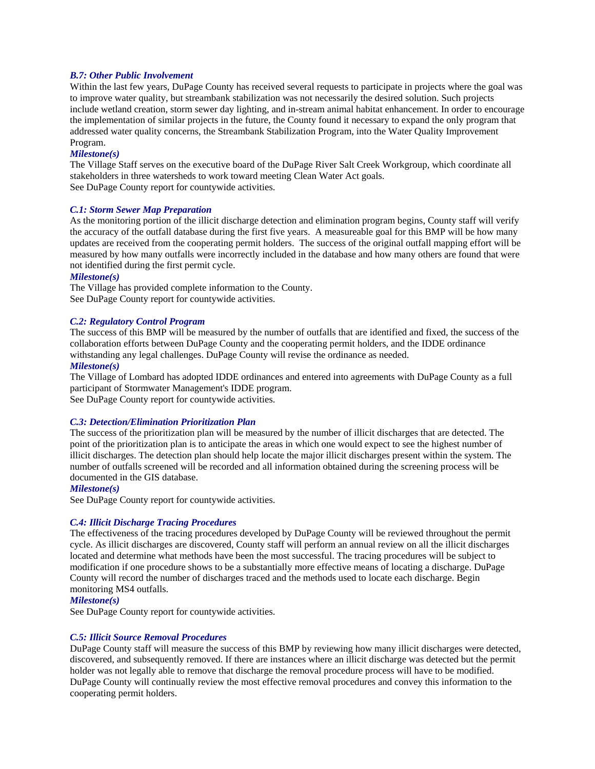#### *B.7: Other Public Involvement*

Within the last few years, DuPage County has received several requests to participate in projects where the goal was to improve water quality, but streambank stabilization was not necessarily the desired solution. Such projects include wetland creation, storm sewer day lighting, and in-stream animal habitat enhancement. In order to encourage the implementation of similar projects in the future, the County found it necessary to expand the only program that addressed water quality concerns, the Streambank Stabilization Program, into the Water Quality Improvement Program.

#### *Milestone(s)*

The Village Staff serves on the executive board of the DuPage River Salt Creek Workgroup, which coordinate all stakeholders in three watersheds to work toward meeting Clean Water Act goals. See DuPage County report for countywide activities.

#### *C.1: Storm Sewer Map Preparation*

As the monitoring portion of the illicit discharge detection and elimination program begins, County staff will verify the accuracy of the outfall database during the first five years. A measureable goal for this BMP will be how many updates are received from the cooperating permit holders. The success of the original outfall mapping effort will be measured by how many outfalls were incorrectly included in the database and how many others are found that were not identified during the first permit cycle.

#### *Milestone(s)*

The Village has provided complete information to the County. See DuPage County report for countywide activities.

#### *C.2: Regulatory Control Program*

The success of this BMP will be measured by the number of outfalls that are identified and fixed, the success of the collaboration efforts between DuPage County and the cooperating permit holders, and the IDDE ordinance withstanding any legal challenges. DuPage County will revise the ordinance as needed.

#### *Milestone(s)*

The Village of Lombard has adopted IDDE ordinances and entered into agreements with DuPage County as a full participant of Stormwater Management's IDDE program.

See DuPage County report for countywide activities.

#### *C.3: Detection/Elimination Prioritization Plan*

The success of the prioritization plan will be measured by the number of illicit discharges that are detected. The point of the prioritization plan is to anticipate the areas in which one would expect to see the highest number of illicit discharges. The detection plan should help locate the major illicit discharges present within the system. The number of outfalls screened will be recorded and all information obtained during the screening process will be documented in the GIS database.

#### *Milestone(s)*

See DuPage County report for countywide activities.

#### *C.4: Illicit Discharge Tracing Procedures*

The effectiveness of the tracing procedures developed by DuPage County will be reviewed throughout the permit cycle. As illicit discharges are discovered, County staff will perform an annual review on all the illicit discharges located and determine what methods have been the most successful. The tracing procedures will be subject to modification if one procedure shows to be a substantially more effective means of locating a discharge. DuPage County will record the number of discharges traced and the methods used to locate each discharge. Begin monitoring MS4 outfalls.

#### *Milestone(s)*

See DuPage County report for countywide activities.

#### *C.5: Illicit Source Removal Procedures*

DuPage County staff will measure the success of this BMP by reviewing how many illicit discharges were detected, discovered, and subsequently removed. If there are instances where an illicit discharge was detected but the permit holder was not legally able to remove that discharge the removal procedure process will have to be modified. DuPage County will continually review the most effective removal procedures and convey this information to the cooperating permit holders.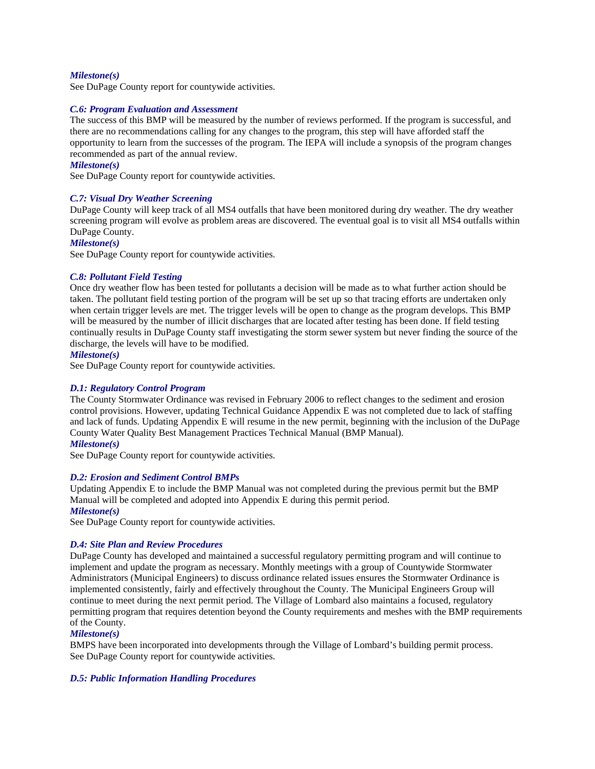#### *Milestone(s)*

See DuPage County report for countywide activities.

#### *C.6: Program Evaluation and Assessment*

The success of this BMP will be measured by the number of reviews performed. If the program is successful, and there are no recommendations calling for any changes to the program, this step will have afforded staff the opportunity to learn from the successes of the program. The IEPA will include a synopsis of the program changes recommended as part of the annual review.

## *Milestone(s)*

See DuPage County report for countywide activities.

#### *C.7: Visual Dry Weather Screening*

DuPage County will keep track of all MS4 outfalls that have been monitored during dry weather. The dry weather screening program will evolve as problem areas are discovered. The eventual goal is to visit all MS4 outfalls within DuPage County.

#### *Milestone(s)*

See DuPage County report for countywide activities.

#### *C.8: Pollutant Field Testing*

Once dry weather flow has been tested for pollutants a decision will be made as to what further action should be taken. The pollutant field testing portion of the program will be set up so that tracing efforts are undertaken only when certain trigger levels are met. The trigger levels will be open to change as the program develops. This BMP will be measured by the number of illicit discharges that are located after testing has been done. If field testing continually results in DuPage County staff investigating the storm sewer system but never finding the source of the discharge, the levels will have to be modified.

#### *Milestone(s)*

See DuPage County report for countywide activities.

#### *D.1: Regulatory Control Program*

The County Stormwater Ordinance was revised in February 2006 to reflect changes to the sediment and erosion control provisions. However, updating Technical Guidance Appendix E was not completed due to lack of staffing and lack of funds. Updating Appendix E will resume in the new permit, beginning with the inclusion of the DuPage County Water Quality Best Management Practices Technical Manual (BMP Manual). *Milestone(s)* 

See DuPage County report for countywide activities.

#### *D.2: Erosion and Sediment Control BMPs*

Updating Appendix E to include the BMP Manual was not completed during the previous permit but the BMP Manual will be completed and adopted into Appendix E during this permit period. *Milestone(s)* 

See DuPage County report for countywide activities.

#### *D.4: Site Plan and Review Procedures*

DuPage County has developed and maintained a successful regulatory permitting program and will continue to implement and update the program as necessary. Monthly meetings with a group of Countywide Stormwater Administrators (Municipal Engineers) to discuss ordinance related issues ensures the Stormwater Ordinance is implemented consistently, fairly and effectively throughout the County. The Municipal Engineers Group will continue to meet during the next permit period. The Village of Lombard also maintains a focused, regulatory permitting program that requires detention beyond the County requirements and meshes with the BMP requirements of the County.

#### *Milestone(s)*

BMPS have been incorporated into developments through the Village of Lombard's building permit process. See DuPage County report for countywide activities.

#### *D.5: Public Information Handling Procedures*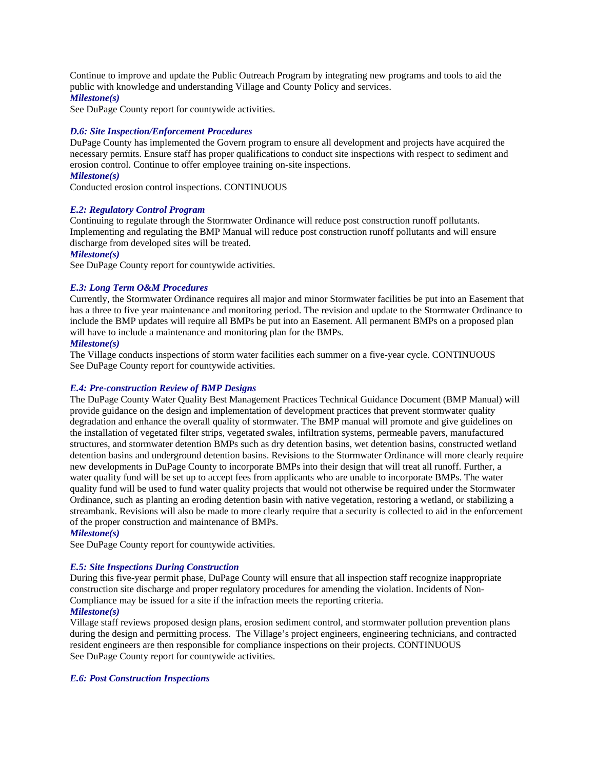Continue to improve and update the Public Outreach Program by integrating new programs and tools to aid the public with knowledge and understanding Village and County Policy and services. *Milestone(s)* 

See DuPage County report for countywide activities.

#### *D.6: Site Inspection/Enforcement Procedures*

DuPage County has implemented the Govern program to ensure all development and projects have acquired the necessary permits. Ensure staff has proper qualifications to conduct site inspections with respect to sediment and erosion control. Continue to offer employee training on-site inspections.

# *Milestone(s)*

Conducted erosion control inspections. CONTINUOUS

#### *E.2: Regulatory Control Program*

Continuing to regulate through the Stormwater Ordinance will reduce post construction runoff pollutants. Implementing and regulating the BMP Manual will reduce post construction runoff pollutants and will ensure discharge from developed sites will be treated.

#### *Milestone(s)*

See DuPage County report for countywide activities.

#### *E.3: Long Term O&M Procedures*

Currently, the Stormwater Ordinance requires all major and minor Stormwater facilities be put into an Easement that has a three to five year maintenance and monitoring period. The revision and update to the Stormwater Ordinance to include the BMP updates will require all BMPs be put into an Easement. All permanent BMPs on a proposed plan will have to include a maintenance and monitoring plan for the BMPs.

#### *Milestone(s)*

The Village conducts inspections of storm water facilities each summer on a five-year cycle. CONTINUOUS See DuPage County report for countywide activities.

#### *E.4: Pre-construction Review of BMP Designs*

The DuPage County Water Quality Best Management Practices Technical Guidance Document (BMP Manual) will provide guidance on the design and implementation of development practices that prevent stormwater quality degradation and enhance the overall quality of stormwater. The BMP manual will promote and give guidelines on the installation of vegetated filter strips, vegetated swales, infiltration systems, permeable pavers, manufactured structures, and stormwater detention BMPs such as dry detention basins, wet detention basins, constructed wetland detention basins and underground detention basins. Revisions to the Stormwater Ordinance will more clearly require new developments in DuPage County to incorporate BMPs into their design that will treat all runoff. Further, a water quality fund will be set up to accept fees from applicants who are unable to incorporate BMPs. The water quality fund will be used to fund water quality projects that would not otherwise be required under the Stormwater Ordinance, such as planting an eroding detention basin with native vegetation, restoring a wetland, or stabilizing a streambank. Revisions will also be made to more clearly require that a security is collected to aid in the enforcement of the proper construction and maintenance of BMPs.

#### *Milestone(s)*

See DuPage County report for countywide activities.

#### *E.5: Site Inspections During Construction*

During this five-year permit phase, DuPage County will ensure that all inspection staff recognize inappropriate construction site discharge and proper regulatory procedures for amending the violation. Incidents of Non-Compliance may be issued for a site if the infraction meets the reporting criteria.

#### *Milestone(s)*

Village staff reviews proposed design plans, erosion sediment control, and stormwater pollution prevention plans during the design and permitting process. The Village's project engineers, engineering technicians, and contracted resident engineers are then responsible for compliance inspections on their projects. CONTINUOUS See DuPage County report for countywide activities.

#### *E.6: Post Construction Inspections*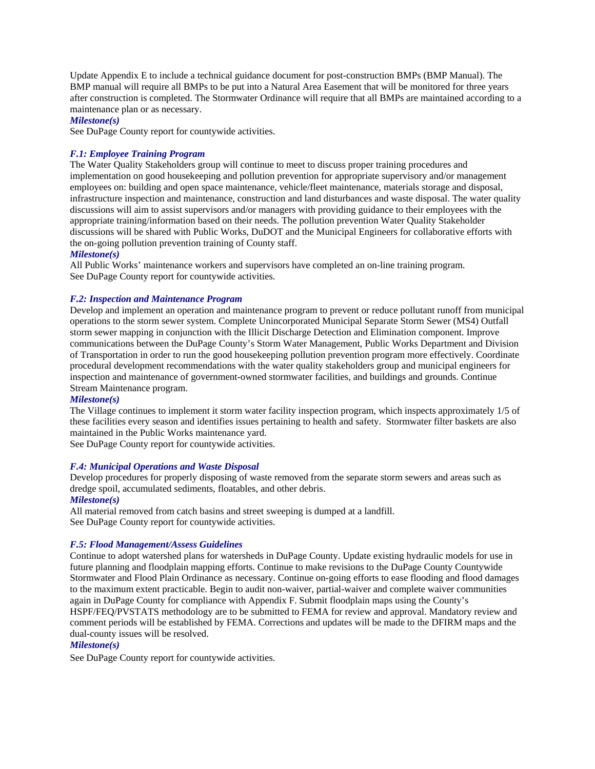Update Appendix E to include a technical guidance document for post-construction BMPs (BMP Manual). The BMP manual will require all BMPs to be put into a Natural Area Easement that will be monitored for three years after construction is completed. The Stormwater Ordinance will require that all BMPs are maintained according to a maintenance plan or as necessary.

#### *Milestone(s)*

See DuPage County report for countywide activities.

#### *F.1: Employee Training Program*

The Water Quality Stakeholders group will continue to meet to discuss proper training procedures and implementation on good housekeeping and pollution prevention for appropriate supervisory and/or management employees on: building and open space maintenance, vehicle/fleet maintenance, materials storage and disposal, infrastructure inspection and maintenance, construction and land disturbances and waste disposal. The water quality discussions will aim to assist supervisors and/or managers with providing guidance to their employees with the appropriate training/information based on their needs. The pollution prevention Water Quality Stakeholder discussions will be shared with Public Works, DuDOT and the Municipal Engineers for collaborative efforts with the on-going pollution prevention training of County staff.

#### *Milestone(s)*

All Public Works' maintenance workers and supervisors have completed an on-line training program. See DuPage County report for countywide activities.

#### *F.2: Inspection and Maintenance Program*

Develop and implement an operation and maintenance program to prevent or reduce pollutant runoff from municipal operations to the storm sewer system. Complete Unincorporated Municipal Separate Storm Sewer (MS4) Outfall storm sewer mapping in conjunction with the Illicit Discharge Detection and Elimination component. Improve communications between the DuPage County's Storm Water Management, Public Works Department and Division of Transportation in order to run the good housekeeping pollution prevention program more effectively. Coordinate procedural development recommendations with the water quality stakeholders group and municipal engineers for inspection and maintenance of government-owned stormwater facilities, and buildings and grounds. Continue Stream Maintenance program.

#### *Milestone(s)*

The Village continues to implement it storm water facility inspection program, which inspects approximately 1/5 of these facilities every season and identifies issues pertaining to health and safety. Stormwater filter baskets are also maintained in the Public Works maintenance yard.

See DuPage County report for countywide activities.

#### *F.4: Municipal Operations and Waste Disposal*

Develop procedures for properly disposing of waste removed from the separate storm sewers and areas such as dredge spoil, accumulated sediments, floatables, and other debris.

#### *Milestone(s)*

All material removed from catch basins and street sweeping is dumped at a landfill. See DuPage County report for countywide activities.

#### *F.5: Flood Management/Assess Guidelines*

Continue to adopt watershed plans for watersheds in DuPage County. Update existing hydraulic models for use in future planning and floodplain mapping efforts. Continue to make revisions to the DuPage County Countywide Stormwater and Flood Plain Ordinance as necessary. Continue on-going efforts to ease flooding and flood damages to the maximum extent practicable. Begin to audit non-waiver, partial-waiver and complete waiver communities again in DuPage County for compliance with Appendix F. Submit floodplain maps using the County's HSPF/FEQ/PVSTATS methodology are to be submitted to FEMA for review and approval. Mandatory review and comment periods will be established by FEMA. Corrections and updates will be made to the DFIRM maps and the dual-county issues will be resolved.

#### *Milestone(s)*

See DuPage County report for countywide activities.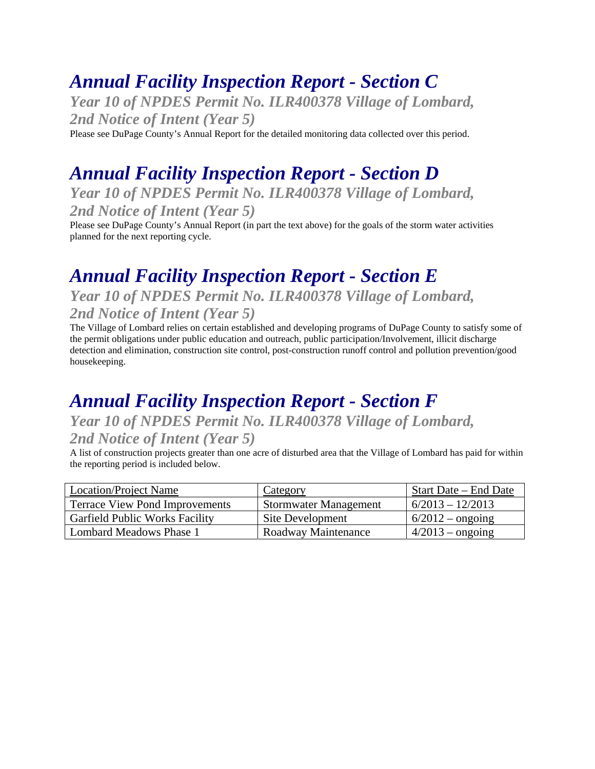# *Annual Facility Inspection Report - Section C*

*Year 10 of NPDES Permit No. ILR400378 Village of Lombard, 2nd Notice of Intent (Year 5)* 

Please see DuPage County's Annual Report for the detailed monitoring data collected over this period.

# *Annual Facility Inspection Report - Section D*

*Year 10 of NPDES Permit No. ILR400378 Village of Lombard, 2nd Notice of Intent (Year 5)* 

Please see DuPage County's Annual Report (in part the text above) for the goals of the storm water activities planned for the next reporting cycle.

# *Annual Facility Inspection Report - Section E*

*Year 10 of NPDES Permit No. ILR400378 Village of Lombard, 2nd Notice of Intent (Year 5)* 

The Village of Lombard relies on certain established and developing programs of DuPage County to satisfy some of the permit obligations under public education and outreach, public participation/Involvement, illicit discharge detection and elimination, construction site control, post-construction runoff control and pollution prevention/good housekeeping.

# *Annual Facility Inspection Report - Section F*

*Year 10 of NPDES Permit No. ILR400378 Village of Lombard,* 

# *2nd Notice of Intent (Year 5)*

A list of construction projects greater than one acre of disturbed area that the Village of Lombard has paid for within the reporting period is included below.

| <b>Location/Project Name</b>          | Category                   | Start Date – End Date |
|---------------------------------------|----------------------------|-----------------------|
| <b>Terrace View Pond Improvements</b> | Stormwater Management      | $6/2013 - 12/2013$    |
| <b>Garfield Public Works Facility</b> | Site Development           | $6/2012$ – ongoing    |
| Lombard Meadows Phase 1               | <b>Roadway Maintenance</b> | $4/2013$ – ongoing    |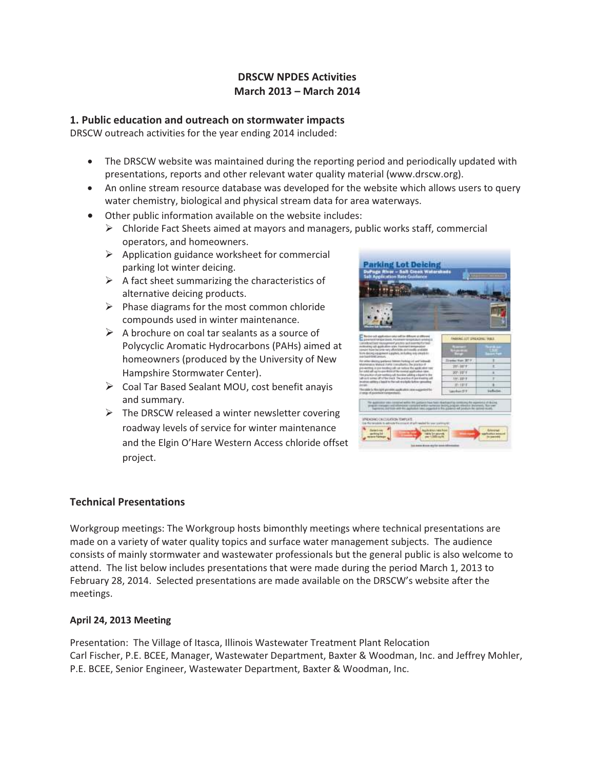# **DRSCW NPDES Activities March 2013 – March 2014**

# **1. Public education and outreach on stormwater impacts**

DRSCW outreach activities for the year ending 2014 included:

- - The DRSCW website was maintained during the reporting period and periodically updated with presentations, reports and other relevant water quality material (www.drscw.org).
- An online stream resource database was developed for the website which allows users to query water chemistry, biological and physical stream data for area waterways.
- Other public information available on the website includes:
	- > Chloride Fact Sheets aimed at mayors and managers, public works staff, commercial operators, and homeowners.
	- > Application guidance worksheet for commercial parking lot winter deicing.
	- $\triangleright$  A fact sheet summarizing the characteristics of alternative deicing products.
	- Phase diagrams for the most common chloride compounds used in winter maintenance.
	- > A brochure on coal tar sealants as a source of Polycyclic Aromatic Hydrocarbons (PAHs) aimed at homeowners (produced by the University of New Hampshire Stormwater Center).
	- Coal Tar Based Sealant MOU, cost benefit anayis and summary.
	- > The DRSCW released a winter newsletter covering roadway levels of service for winter maintenance and the Elgin O'Hare Western Access chloride offset project.



# **Technical Presentations**

Workgroup meetings: The Workgroup hosts bimonthly meetings where technical presentations are made on a variety of water quality topics and surface water management subjects. The audience consists of mainly stormwater and wastewater professionals but the general public is also welcome to attend. The list below includes presentations that were made during the period March 1, 2013 to February 28, 2014. Selected presentations are made available on the DRSCW's website after the meetings.

# **April 24, 2013 Meeting**

Presentation: The Village of Itasca, Illinois Wastewater Treatment Plant Relocation Carl Fischer, P.E. BCEE, Manager, Wastewater Department, Baxter & Woodman, Inc. and Jeffrey Mohler, P.E. BCEE, Senior Engineer, Wastewater Department, Baxter & Woodman, Inc.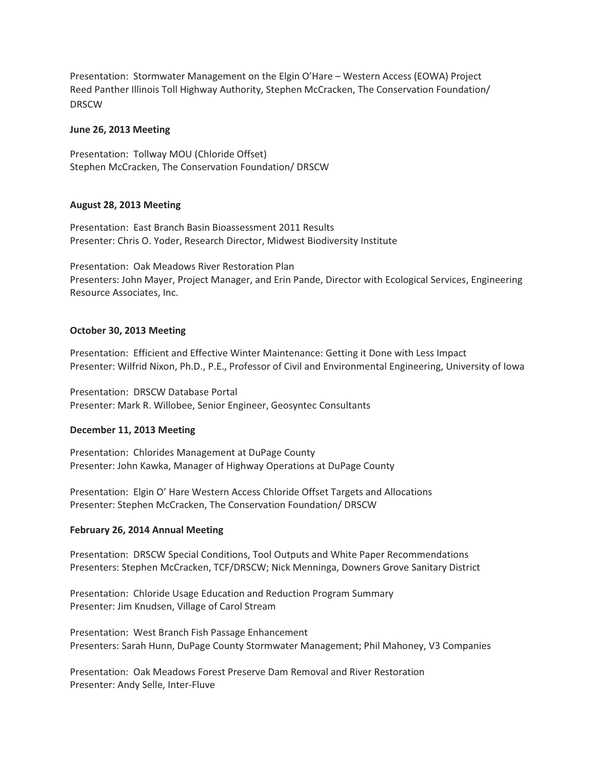Presentation: Stormwater Management on the Elgin O'Hare – Western Access (EOWA) Project Reed Panther Illinois Toll Highway Authority, Stephen McCracken, The Conservation Foundation/ DRSCW

## **June 26, 2013 Meeting**

Presentation: Tollway MOU (Chloride Offset) Stephen McCracken, The Conservation Foundation/ DRSCW

## **August 28, 2013 Meeting**

Presentation: East Branch Basin Bioassessment 2011 Results Presenter: Chris O. Yoder, Research Director, Midwest Biodiversity Institute

Presentation: Oak Meadows River Restoration Plan Presenters: John Mayer, Project Manager, and Erin Pande, Director with Ecological Services, Engineering Resource Associates, Inc.

## **October 30, 2013 Meeting**

Presentation: Efficient and Effective Winter Maintenance: Getting it Done with Less Impact Presenter: Wilfrid Nixon, Ph.D., P.E., Professor of Civil and Environmental Engineering, University of Iowa

Presentation: DRSCW Database Portal Presenter: Mark R. Willobee, Senior Engineer, Geosyntec Consultants

# **December 11, 2013 Meeting**

Presentation: Chlorides Management at DuPage County Presenter: John Kawka, Manager of Highway Operations at DuPage County

Presentation: Elgin O' Hare Western Access Chloride Offset Targets and Allocations Presenter: Stephen McCracken, The Conservation Foundation/ DRSCW

# **February 26, 2014 Annual Meeting**

Presentation: DRSCW Special Conditions, Tool Outputs and White Paper Recommendations Presenters: Stephen McCracken, TCF/DRSCW; Nick Menninga, Downers Grove Sanitary District

Presentation: Chloride Usage Education and Reduction Program Summary Presenter: Jim Knudsen, Village of Carol Stream

Presentation: West Branch Fish Passage Enhancement Presenters: Sarah Hunn, DuPage County Stormwater Management; Phil Mahoney, V3 Companies

Presentation: Oak Meadows Forest Preserve Dam Removal and River Restoration Presenter: Andy Selle, Inter-Fluve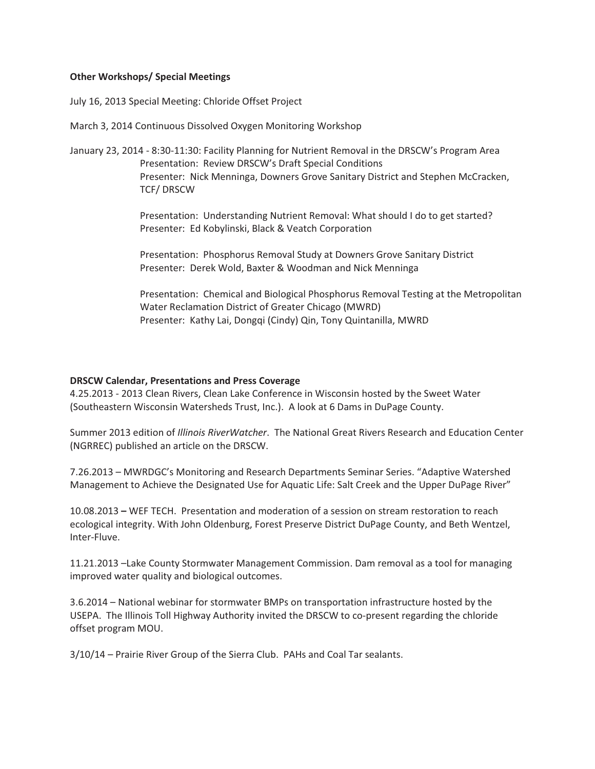## **Other Workshops/ Special Meetings**

July 16, 2013 Special Meeting: Chloride Offset Project

March 3, 2014 Continuous Dissolved Oxygen Monitoring Workshop

January 23, 2014 - 8:30-11:30: Facility Planning for Nutrient Removal in the DRSCW's Program Area Presentation: Review DRSCW's Draft Special Conditions Presenter: Nick Menninga, Downers Grove Sanitary District and Stephen McCracken, TCF/ DRSCW

> Presentation: Understanding Nutrient Removal: What should I do to get started? Presenter: Ed Kobylinski, Black & Veatch Corporation

Presentation: Phosphorus Removal Study at Downers Grove Sanitary District Presenter: Derek Wold, Baxter & Woodman and Nick Menninga

Presentation: Chemical and Biological Phosphorus Removal Testing at the Metropolitan Water Reclamation District of Greater Chicago (MWRD) Presenter: Kathy Lai, Dongqi (Cindy) Qin, Tony Quintanilla, MWRD

#### **DRSCW Calendar, Presentations and Press Coverage**

4.25.2013 - 2013 Clean Rivers, Clean Lake Conference in Wisconsin hosted by the Sweet Water (Southeastern Wisconsin Watersheds Trust, Inc.). A look at 6 Dams in DuPage County.

Summer 2013 edition of *Illinois RiverWatcher*. The National Great Rivers Research and Education Center (NGRREC) published an article on the DRSCW.

7.26.2013 – MWRDGC's Monitoring and Research Departments Seminar Series. "Adaptive Watershed Management to Achieve the Designated Use for Aquatic Life: Salt Creek and the Upper DuPage River"

10.08.2013 **–** WEF TECH. Presentation and moderation of a session on stream restoration to reach ecological integrity. With John Oldenburg, Forest Preserve District DuPage County, and Beth Wentzel, Inter-Fluve.

11.21.2013 –Lake County Stormwater Management Commission. Dam removal as a tool for managing improved water quality and biological outcomes.

3.6.2014 – National webinar for stormwater BMPs on transportation infrastructure hosted by the USEPA. The Illinois Toll Highway Authority invited the DRSCW to co-present regarding the chloride offset program MOU.

3/10/14 – Prairie River Group of the Sierra Club. PAHs and Coal Tar sealants.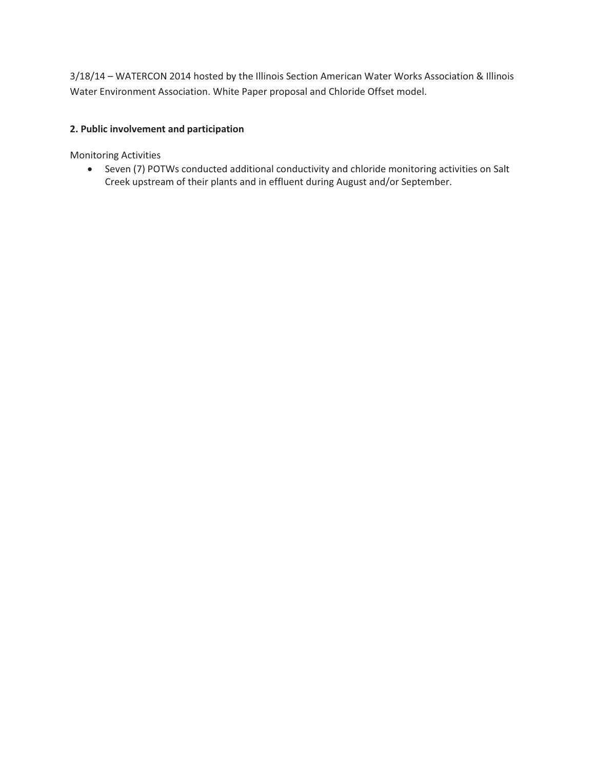3/18/14 – WATERCON 2014 hosted by the Illinois Section American Water Works Association & Illinois Water Environment Association. White Paper proposal and Chloride Offset model.

# **2. Public involvement and participation**

Monitoring Activities

• Seven (7) POTWs conducted additional conductivity and chloride monitoring activities on Salt Creek upstream of their plants and in effluent during August and/or September.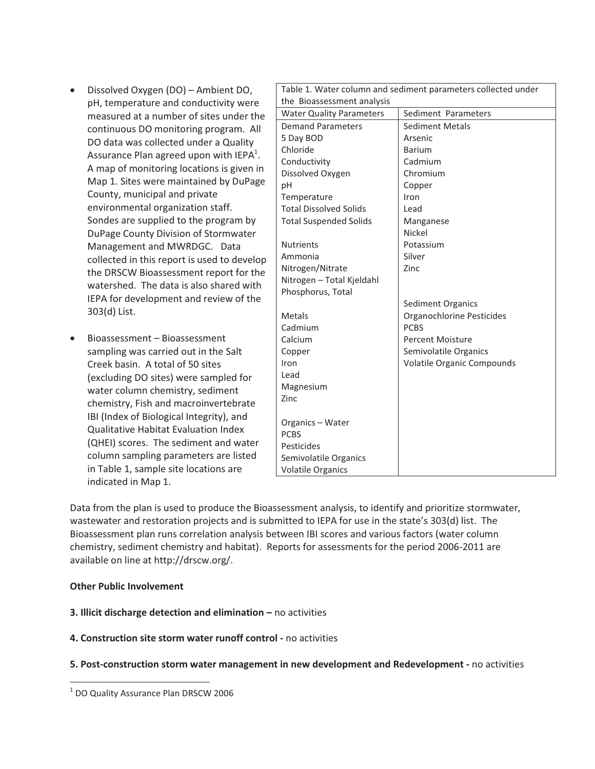- - Dissolved Oxygen (DO) – Ambient DO, pH, temperature and conductivity were measured at a number of sites under the continuous DO monitoring program. All DO data was collected under a Quality Assurance Plan agreed upon with IEPA $^1$ . A map of monitoring locations is given in Map 1. Sites were maintained by DuPage County, municipal and private environmental organization staff. Sondes are supplied to the program by DuPage County Division of Stormwater Management and MWRDGC. Data collected in this report is used to develop the DRSCW Bioassessment report for the watershed. The data is also shared with IEPA for development and review of the 303(d) List.
- Bioassessment Bioassessment sampling was carried out in the Salt Creek basin. A total of 50 sites (excluding DO sites) were sampled for water column chemistry, sediment chemistry, Fish and macroinvertebrate IBI (Index of Biological Integrity), and Qualitative Habitat Evaluation Index (QHEI) scores. The sediment and water column sampling parameters are listed in Table 1, sample site locations are indicated in Map 1.

|                                 | Table 1. Water column and sediment parameters collected under |
|---------------------------------|---------------------------------------------------------------|
| the Bioassessment analysis      |                                                               |
| <b>Water Quality Parameters</b> | Sediment Parameters                                           |
| <b>Demand Parameters</b>        | <b>Sediment Metals</b>                                        |
| 5 Day BOD                       | Arsenic                                                       |
| Chloride                        | Barium                                                        |
| Conductivity                    | Cadmium                                                       |
| Dissolved Oxygen                | Chromium                                                      |
| pH                              | Copper                                                        |
| Temperature                     | Iron                                                          |
| <b>Total Dissolved Solids</b>   | Lead                                                          |
| <b>Total Suspended Solids</b>   | Manganese                                                     |
|                                 | Nickel                                                        |
| <b>Nutrients</b>                | Potassium                                                     |
| Ammonia                         | Silver                                                        |
| Nitrogen/Nitrate                | Zinc                                                          |
| Nitrogen - Total Kjeldahl       |                                                               |
| Phosphorus, Total               |                                                               |
|                                 | <b>Sediment Organics</b>                                      |
| <b>Metals</b>                   | Organochlorine Pesticides                                     |
| Cadmium                         | <b>PCBS</b>                                                   |
| Calcium                         | <b>Percent Moisture</b>                                       |
| Copper                          | Semivolatile Organics                                         |
| Iron                            | Volatile Organic Compounds                                    |
| Lead                            |                                                               |
| Magnesium                       |                                                               |
| Zinc                            |                                                               |
| Organics - Water                |                                                               |
| <b>PCBS</b>                     |                                                               |
| Pesticides                      |                                                               |
| Semivolatile Organics           |                                                               |
| <b>Volatile Organics</b>        |                                                               |

Data from the plan is used to produce the Bioassessment analysis, to identify and prioritize stormwater, wastewater and restoration projects and is submitted to IEPA for use in the state's 303(d) list. The Bioassessment plan runs correlation analysis between IBI scores and various factors (water column chemistry, sediment chemistry and habitat). Reports for assessments for the period 2006-2011 are available on line at http://drscw.org/.

#### **Other Public Involvement**

 $\overline{a}$ 

# **3. Illicit discharge detection and elimination –** no activities

- **4. Construction site storm water runoff control** no activities
- **5. Post-construction storm water management in new development and Redevelopment** no activities

<sup>&</sup>lt;sup>1</sup> DO Quality Assurance Plan DRSCW 2006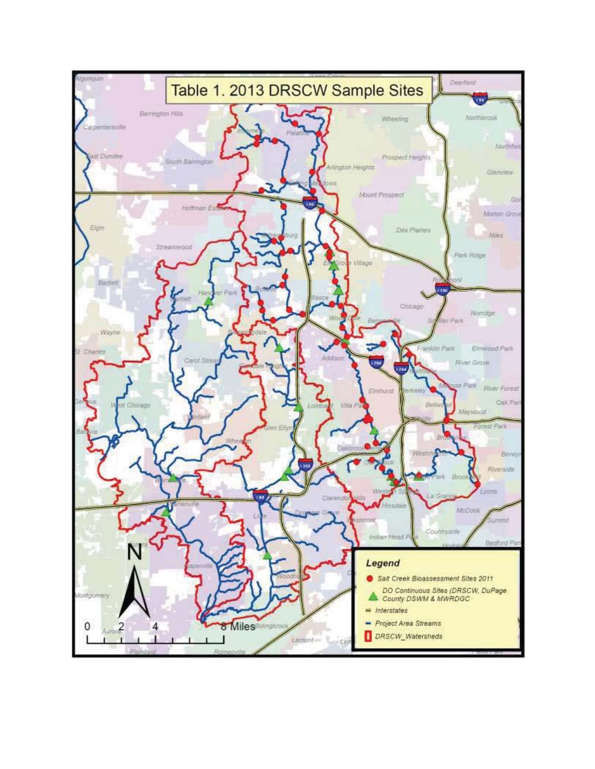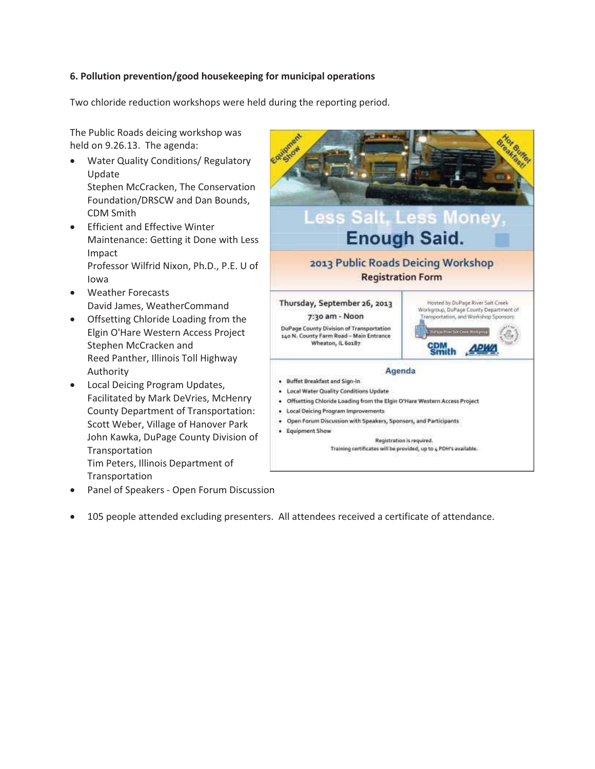# **6. Pollution prevention/good housekeeping for municipal operations**

Two chloride reduction workshops were held during the reporting period.

The Public Roads deicing workshop was held on 9.26.13. The agenda:

- - Water Quality Conditions/ Regulatory Update Stephen McCracken, The Conservation Foundation/DRSCW and Dan Bounds, CDM Smith
- - Efficient and Effective Winter Maintenance: Getting it Done with Less Impact Professor Wilfrid Nixon, Ph.D., P.E. U of Iowa
- $\bullet$  Weather Forecasts David James, WeatherCommand
- **•** Offsetting Chloride Loading from the Elgin O'Hare Western Access Project Stephen McCracken and Reed Panther, Illinois Toll Highway Authority
- Local Deicing Program Updates, Facilitated by Mark DeVries, McHenry County Department of Transportation: Scott Weber, Village of Hanover Park John Kawka, DuPage County Division of Transportation Tim Peters, Illinois Department of Transportation
- -Panel of Speakers - Open Forum Discussion



-105 people attended excluding presenters. All attendees received a certificate of attendance.